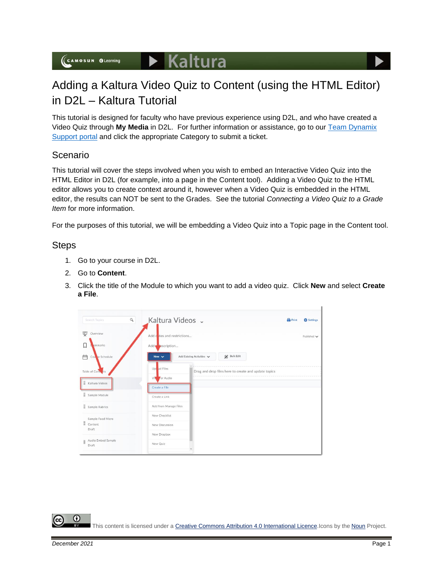# Adding a Kaltura Video Quiz to Content (using the HTML Editor) in D2L – Kaltura Tutorial

This tutorial is designed for faculty who have previous experience using D2L, and who have created a Video Quiz through **My Media** in D2L. For further information or assistance, go to our [Team Dynamix](https://camosun.teamdynamix.com/TDClient/67/Portal/Requests/ServiceCatalog?CategoryID=523)  [Support portal](https://camosun.teamdynamix.com/TDClient/67/Portal/Requests/ServiceCatalog?CategoryID=523) and click the appropriate Category to submit a ticket.

## Scenario

This tutorial will cover the steps involved when you wish to embed an Interactive Video Quiz into the HTML Editor in D2L (for example, into a page in the Content tool). Adding a Video Quiz to the HTML editor allows you to create context around it, however when a Video Quiz is embedded in the HTML editor, the results can NOT be sent to the Grades. See the tutorial *Connecting a Video Quiz to a Grade Item* for more information.

For the purposes of this tutorial, we will be embedding a Video Quiz into a Topic page in the Content tool.

### Steps

- 1. Go to your course in D2L.
- 2. Go to **Content**.
- 3. Click the title of the Module to which you want to add a video quiz. Click **New** and select **Create a File**.

| $\mathcal{Q}$<br>Search Topics | Kaltura Videos v                                                    | <b>Print</b> | <b>C</b> Settings               |
|--------------------------------|---------------------------------------------------------------------|--------------|---------------------------------|
| 호<br>Overview                  | Add cates and restrictions                                          |              | Published $\blacktriangleright$ |
| L<br>okmarks                   | Add <b>exerciption</b>                                              |              |                                 |
| 甴<br>Couse Schedule            | <b>Bulk Edit</b><br>Add Existing Activities V<br>New $\vee$         |              |                                 |
| Table of Cont<br><b>Ats</b>    | Up ad Files<br>Drag and drop files here to create and update topics |              |                                 |
| Kaltura Videos                 | Vite <b>V</b> or Audio<br>Create a File                             |              |                                 |
| Sample Module                  | Create a Link                                                       |              |                                 |
| Ħ.<br>Sample Rubrics           | Add from Manage Files                                               |              |                                 |
| Sample Food Micro              | New Checklist                                                       |              |                                 |
| H<br>Content<br>Draft          | New Discussion                                                      |              |                                 |
| Audio Embed Sample             | New Dropbox                                                         |              |                                 |
| Ħ<br>Draft                     | New Quiz                                                            |              |                                 |

This content is licensed under [a Creative Commons Attribution 4.0 International Licence.I](https://creativecommons.org/licenses/by/4.0/)cons by the [Noun](https://creativecommons.org/website-icons/) Project.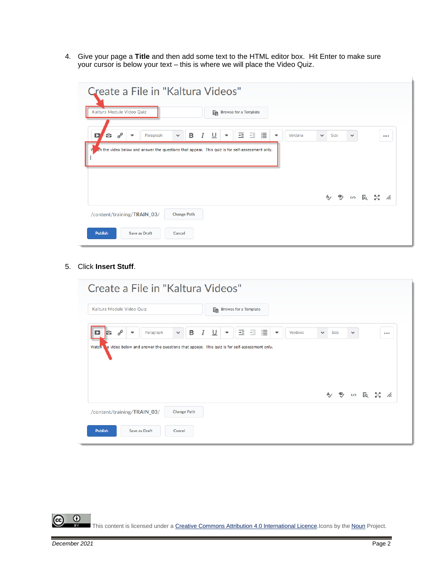4. Give your page a **Title** and then add some text to the HTML editor box. Hit Enter to make sure your cursor is below your text – this is where we will place the Video Quiz.

| Create a File in "Kaltura Videos"                                                                                                                                                               |                         |      |              |       |  |
|-------------------------------------------------------------------------------------------------------------------------------------------------------------------------------------------------|-------------------------|------|--------------|-------|--|
| Kaltura Module Video Quiz<br>En Browse for a Template                                                                                                                                           |                         |      |              |       |  |
| ᆂ<br>這<br>$\overline{=}$<br>$\sigma^{\!\mathcal{O}}$<br>쓰<br>в<br>I<br>÷.<br>D<br>Paragraph<br>$\checkmark$<br>$\overline{\phantom{a}}$<br>$\overline{\phantom{a}}$<br>$\overline{\phantom{a}}$ | Verdana<br>$\checkmark$ | Size | $\checkmark$ | 0.0.0 |  |
| ch the video below and answer the questions that appear. This quiz is for self-assessment only.                                                                                                 |                         |      |              |       |  |
|                                                                                                                                                                                                 |                         |      |              |       |  |
|                                                                                                                                                                                                 |                         |      |              |       |  |
| /content/training/TRAIN_03/<br><b>Change Path</b>                                                                                                                                               |                         |      |              |       |  |
| <b>Publish</b><br><b>Save as Draft</b><br>Cancel                                                                                                                                                |                         |      |              |       |  |

5. Click **Insert Stuff**.

|                                                                                                  |                        | Create a File in "Kaltura Videos"                                                                                                 |          |
|--------------------------------------------------------------------------------------------------|------------------------|-----------------------------------------------------------------------------------------------------------------------------------|----------|
| Kaltura Module Video Quiz                                                                        |                        | En Browse for a Template                                                                                                          |          |
| $\sigma^{\!\mathcal{O}}$<br>Paragraph<br>ю<br>$\overline{\phantom{a}}$                           | Ι<br>в<br>$\checkmark$ | ᆂ<br>$\overline{=}$<br>這<br>$\overline{\cup}$<br>Verdana<br>Size<br>$\overline{\phantom{a}}$<br>▼<br>$\checkmark$<br>$\checkmark$ | $\cdots$ |
| Watch e video below and answer the questions that appear. This quiz is for self-assessment only. |                        |                                                                                                                                   |          |
|                                                                                                  |                        |                                                                                                                                   |          |
|                                                                                                  |                        |                                                                                                                                   |          |
|                                                                                                  |                        |                                                                                                                                   |          |
|                                                                                                  |                        | A) → (n) EQ 27 //                                                                                                                 |          |
| /content/training/TRAIN_03/                                                                      | <b>Change Path</b>     |                                                                                                                                   |          |

 $\overline{0}$ (cc This content is licensed under [a Creative Commons Attribution 4.0 International Licence.I](https://creativecommons.org/licenses/by/4.0/)cons by the [Noun](https://creativecommons.org/website-icons/) Project.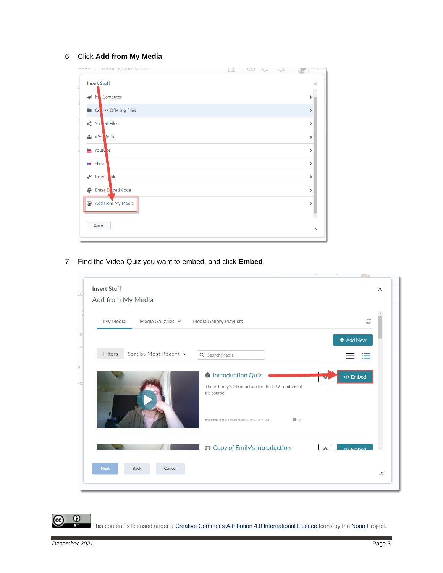#### 6. Click **Add from My Media**.



7. Find the Video Quiz you want to embed, and click **Embed**.



 $\odot$ 

This content is licensed under [a Creative Commons Attribution 4.0 International Licence.I](https://creativecommons.org/licenses/by/4.0/)cons by the [Noun](https://creativecommons.org/website-icons/) Project.